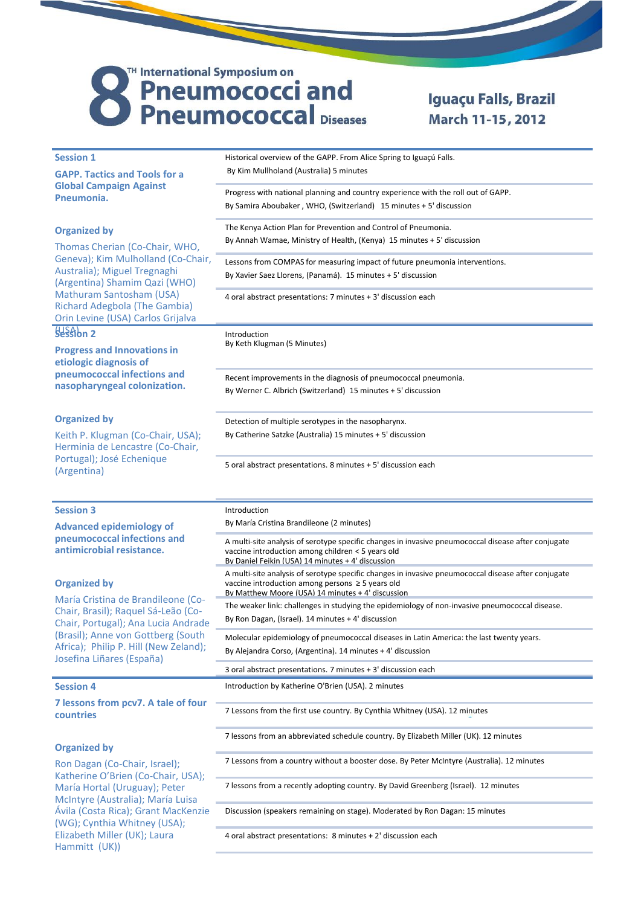## TH International Symposium on<br>
Pneumococci and<br>
Pneumococcal Diseases

## Iguaçu Falls, Brazil March 11-15, 2012

| <b>Session 1</b>                                                                                                                                                                                                                                                                 | Historical overview of the GAPP. From Alice Spring to Iguaçú Falls.                                                                                      |
|----------------------------------------------------------------------------------------------------------------------------------------------------------------------------------------------------------------------------------------------------------------------------------|----------------------------------------------------------------------------------------------------------------------------------------------------------|
| <b>GAPP. Tactics and Tools for a</b><br><b>Global Campaign Against</b><br>Pneumonia.<br><b>Organized by</b><br>Thomas Cherian (Co-Chair, WHO,<br>Geneva); Kim Mulholland (Co-Chair,<br>Australia); Miguel Tregnaghi<br>(Argentina) Shamim Qazi (WHO)<br>Mathuram Santosham (USA) | By Kim Mullholand (Australia) 5 minutes                                                                                                                  |
|                                                                                                                                                                                                                                                                                  | Progress with national planning and country experience with the roll out of GAPP.                                                                        |
|                                                                                                                                                                                                                                                                                  | By Samira Aboubaker, WHO, (Switzerland) 15 minutes + 5' discussion                                                                                       |
|                                                                                                                                                                                                                                                                                  | The Kenya Action Plan for Prevention and Control of Pneumonia.                                                                                           |
|                                                                                                                                                                                                                                                                                  | By Annah Wamae, Ministry of Health, (Kenya) 15 minutes + 5' discussion                                                                                   |
|                                                                                                                                                                                                                                                                                  | Lessons from COMPAS for measuring impact of future pneumonia interventions.                                                                              |
|                                                                                                                                                                                                                                                                                  | By Xavier Saez Llorens, (Panamá). 15 minutes + 5' discussion                                                                                             |
|                                                                                                                                                                                                                                                                                  |                                                                                                                                                          |
| Richard Adegbola (The Gambia)                                                                                                                                                                                                                                                    | 4 oral abstract presentations: 7 minutes + 3' discussion each                                                                                            |
| Orin Levine (USA) Carlos Grijalva                                                                                                                                                                                                                                                |                                                                                                                                                          |
| Session 2                                                                                                                                                                                                                                                                        | Introduction<br>By Keth Klugman (5 Minutes)                                                                                                              |
| <b>Progress and Innovations in</b>                                                                                                                                                                                                                                               |                                                                                                                                                          |
| etiologic diagnosis of<br>pneumococcal infections and<br>nasopharyngeal colonization.                                                                                                                                                                                            |                                                                                                                                                          |
|                                                                                                                                                                                                                                                                                  | Recent improvements in the diagnosis of pneumococcal pneumonia.<br>By Werner C. Albrich (Switzerland) 15 minutes + 5' discussion                         |
|                                                                                                                                                                                                                                                                                  |                                                                                                                                                          |
| <b>Organized by</b>                                                                                                                                                                                                                                                              | Detection of multiple serotypes in the nasopharynx.                                                                                                      |
| Keith P. Klugman (Co-Chair, USA);                                                                                                                                                                                                                                                | By Catherine Satzke (Australia) 15 minutes + 5' discussion                                                                                               |
| Herminia de Lencastre (Co-Chair,<br>Portugal); José Echenique<br>(Argentina)                                                                                                                                                                                                     |                                                                                                                                                          |
|                                                                                                                                                                                                                                                                                  | 5 oral abstract presentations. 8 minutes + 5' discussion each                                                                                            |
|                                                                                                                                                                                                                                                                                  |                                                                                                                                                          |
|                                                                                                                                                                                                                                                                                  |                                                                                                                                                          |
|                                                                                                                                                                                                                                                                                  |                                                                                                                                                          |
| <b>Session 3</b>                                                                                                                                                                                                                                                                 | Introduction<br>By María Cristina Brandileone (2 minutes)                                                                                                |
| <b>Advanced epidemiology of</b><br>pneumococcal infections and                                                                                                                                                                                                                   |                                                                                                                                                          |
| antimicrobial resistance.                                                                                                                                                                                                                                                        | A multi-site analysis of serotype specific changes in invasive pneumococcal disease after conjugate<br>vaccine introduction among children < 5 years old |
|                                                                                                                                                                                                                                                                                  | By Daniel Feikin (USA) 14 minutes + 4' discussion<br>A multi-site analysis of serotype specific changes in invasive pneumococcal disease after conjugate |
| <b>Organized by</b>                                                                                                                                                                                                                                                              | vaccine introduction among persons $\geq$ 5 years old                                                                                                    |
| María Cristina de Brandileone (Co-                                                                                                                                                                                                                                               | By Matthew Moore (USA) 14 minutes + 4' discussion<br>The weaker link: challenges in studying the epidemiology of non-invasive pneumococcal disease.      |
| Chair, Brasil); Raquel Sá-Leão (Co-                                                                                                                                                                                                                                              | By Ron Dagan, (Israel). 14 minutes + 4' discussion                                                                                                       |
| Chair, Portugal); Ana Lucia Andrade<br>(Brasil); Anne von Gottberg (South                                                                                                                                                                                                        | Molecular epidemiology of pneumococcal diseases in Latin America: the last twenty years.                                                                 |
| Africa); Philip P. Hill (New Zeland);                                                                                                                                                                                                                                            | By Alejandra Corso, (Argentina). 14 minutes + 4' discussion                                                                                              |
| Josefina Liñares (España)                                                                                                                                                                                                                                                        | 3 oral abstract presentations. 7 minutes + 3' discussion each                                                                                            |
| <b>Session 4</b>                                                                                                                                                                                                                                                                 | Introduction by Katherine O'Brien (USA). 2 minutes                                                                                                       |
| 7 lessons from pcv7. A tale of four<br>countries                                                                                                                                                                                                                                 | 7 Lessons from the first use country. By Cynthia Whitney (USA). 12 minutes                                                                               |
|                                                                                                                                                                                                                                                                                  | 7 lessons from an abbreviated schedule country. By Elizabeth Miller (UK). 12 minutes                                                                     |
| <b>Organized by</b>                                                                                                                                                                                                                                                              |                                                                                                                                                          |
| Ron Dagan (Co-Chair, Israel);                                                                                                                                                                                                                                                    | 7 Lessons from a country without a booster dose. By Peter McIntyre (Australia). 12 minutes                                                               |
| Katherine O'Brien (Co-Chair, USA);<br>María Hortal (Uruguay); Peter                                                                                                                                                                                                              | 7 lessons from a recently adopting country. By David Greenberg (Israel). 12 minutes                                                                      |
| McIntyre (Australia); María Luisa<br>Ávila (Costa Rica); Grant MacKenzie                                                                                                                                                                                                         | Discussion (speakers remaining on stage). Moderated by Ron Dagan: 15 minutes                                                                             |
| (WG); Cynthia Whitney (USA);<br>Elizabeth Miller (UK); Laura                                                                                                                                                                                                                     | 4 oral abstract presentations: 8 minutes + 2' discussion each                                                                                            |